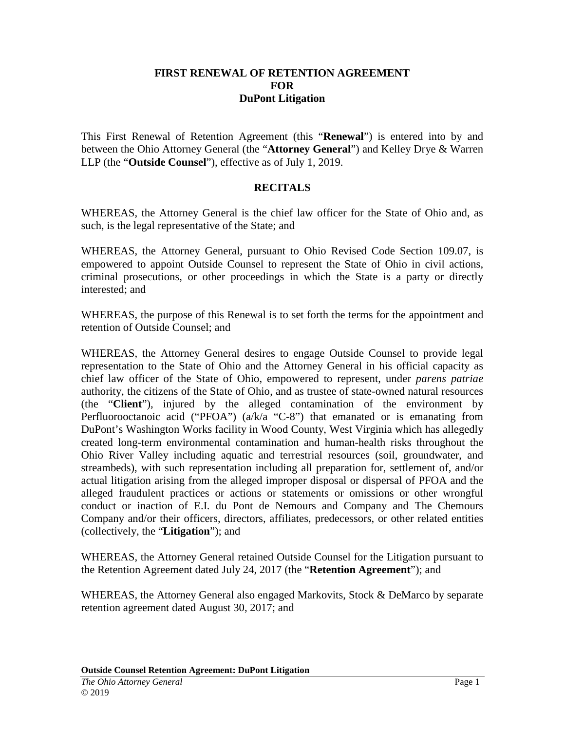#### **FIRST RENEWAL OF RETENTION AGREEMENT FOR DuPont Litigation**

This First Renewal of Retention Agreement (this "**Renewal**") is entered into by and between the Ohio Attorney General (the "**Attorney General**") and Kelley Drye & Warren LLP (the "**Outside Counsel**"), effective as of July 1, 2019.

#### **RECITALS**

WHEREAS, the Attorney General is the chief law officer for the State of Ohio and, as such, is the legal representative of the State; and

WHEREAS, the Attorney General, pursuant to Ohio Revised Code Section 109.07, is empowered to appoint Outside Counsel to represent the State of Ohio in civil actions, criminal prosecutions, or other proceedings in which the State is a party or directly interested; and

WHEREAS, the purpose of this Renewal is to set forth the terms for the appointment and retention of Outside Counsel; and

WHEREAS, the Attorney General desires to engage Outside Counsel to provide legal representation to the State of Ohio and the Attorney General in his official capacity as chief law officer of the State of Ohio, empowered to represent, under *parens patriae* authority, the citizens of the State of Ohio, and as trustee of state-owned natural resources (the "**Client**"), injured by the alleged contamination of the environment by Perfluorooctanoic acid ("PFOA") (a/k/a "C-8") that emanated or is emanating from DuPont's Washington Works facility in Wood County, West Virginia which has allegedly created long-term environmental contamination and human-health risks throughout the Ohio River Valley including aquatic and terrestrial resources (soil, groundwater, and streambeds), with such representation including all preparation for, settlement of, and/or actual litigation arising from the alleged improper disposal or dispersal of PFOA and the alleged fraudulent practices or actions or statements or omissions or other wrongful conduct or inaction of E.I. du Pont de Nemours and Company and The Chemours Company and/or their officers, directors, affiliates, predecessors, or other related entities (collectively, the "**Litigation**"); and

WHEREAS, the Attorney General retained Outside Counsel for the Litigation pursuant to the Retention Agreement dated July 24, 2017 (the "**Retention Agreement**"); and

WHEREAS, the Attorney General also engaged Markovits, Stock & DeMarco by separate retention agreement dated August 30, 2017; and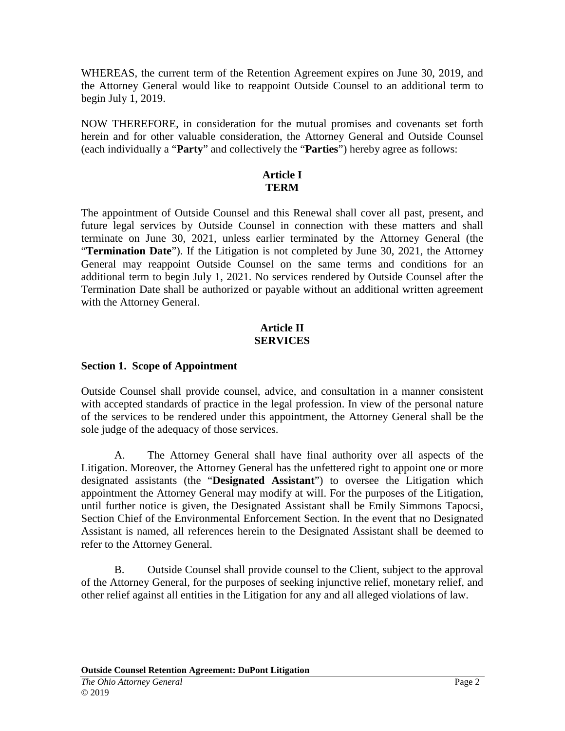WHEREAS, the current term of the Retention Agreement expires on June 30, 2019, and the Attorney General would like to reappoint Outside Counsel to an additional term to begin July 1, 2019.

NOW THEREFORE, in consideration for the mutual promises and covenants set forth herein and for other valuable consideration, the Attorney General and Outside Counsel (each individually a "**Party**" and collectively the "**Parties**") hereby agree as follows:

#### **Article I TERM**

The appointment of Outside Counsel and this Renewal shall cover all past, present, and future legal services by Outside Counsel in connection with these matters and shall terminate on June 30, 2021, unless earlier terminated by the Attorney General (the "**Termination Date**"). If the Litigation is not completed by June 30, 2021, the Attorney General may reappoint Outside Counsel on the same terms and conditions for an additional term to begin July 1, 2021. No services rendered by Outside Counsel after the Termination Date shall be authorized or payable without an additional written agreement with the Attorney General.

#### **Article II SERVICES**

## **Section 1. Scope of Appointment**

Outside Counsel shall provide counsel, advice, and consultation in a manner consistent with accepted standards of practice in the legal profession. In view of the personal nature of the services to be rendered under this appointment, the Attorney General shall be the sole judge of the adequacy of those services.

A. The Attorney General shall have final authority over all aspects of the Litigation. Moreover, the Attorney General has the unfettered right to appoint one or more designated assistants (the "**Designated Assistant**") to oversee the Litigation which appointment the Attorney General may modify at will. For the purposes of the Litigation, until further notice is given, the Designated Assistant shall be Emily Simmons Tapocsi, Section Chief of the Environmental Enforcement Section. In the event that no Designated Assistant is named, all references herein to the Designated Assistant shall be deemed to refer to the Attorney General.

B. Outside Counsel shall provide counsel to the Client, subject to the approval of the Attorney General, for the purposes of seeking injunctive relief, monetary relief, and other relief against all entities in the Litigation for any and all alleged violations of law.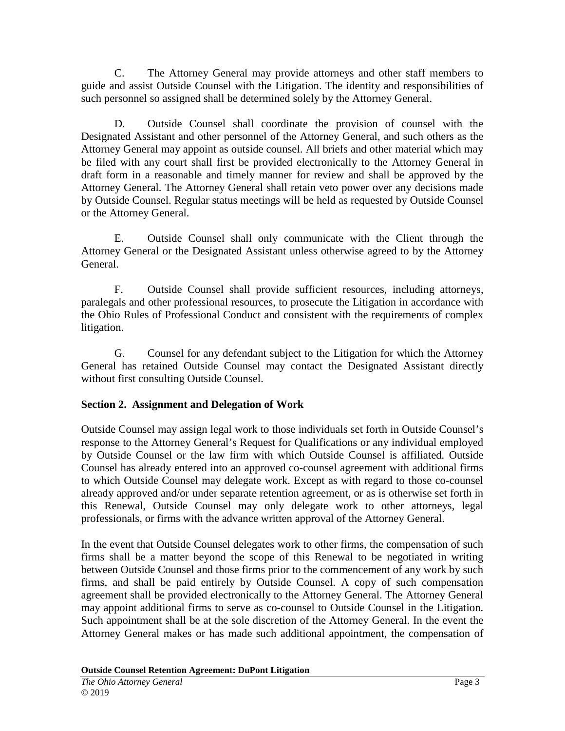C. The Attorney General may provide attorneys and other staff members to guide and assist Outside Counsel with the Litigation. The identity and responsibilities of such personnel so assigned shall be determined solely by the Attorney General.

D. Outside Counsel shall coordinate the provision of counsel with the Designated Assistant and other personnel of the Attorney General, and such others as the Attorney General may appoint as outside counsel. All briefs and other material which may be filed with any court shall first be provided electronically to the Attorney General in draft form in a reasonable and timely manner for review and shall be approved by the Attorney General. The Attorney General shall retain veto power over any decisions made by Outside Counsel. Regular status meetings will be held as requested by Outside Counsel or the Attorney General.

E. Outside Counsel shall only communicate with the Client through the Attorney General or the Designated Assistant unless otherwise agreed to by the Attorney General.

F. Outside Counsel shall provide sufficient resources, including attorneys, paralegals and other professional resources, to prosecute the Litigation in accordance with the Ohio Rules of Professional Conduct and consistent with the requirements of complex litigation.

G. Counsel for any defendant subject to the Litigation for which the Attorney General has retained Outside Counsel may contact the Designated Assistant directly without first consulting Outside Counsel.

# **Section 2. Assignment and Delegation of Work**

Outside Counsel may assign legal work to those individuals set forth in Outside Counsel's response to the Attorney General's Request for Qualifications or any individual employed by Outside Counsel or the law firm with which Outside Counsel is affiliated. Outside Counsel has already entered into an approved co-counsel agreement with additional firms to which Outside Counsel may delegate work. Except as with regard to those co-counsel already approved and/or under separate retention agreement, or as is otherwise set forth in this Renewal, Outside Counsel may only delegate work to other attorneys, legal professionals, or firms with the advance written approval of the Attorney General.

In the event that Outside Counsel delegates work to other firms, the compensation of such firms shall be a matter beyond the scope of this Renewal to be negotiated in writing between Outside Counsel and those firms prior to the commencement of any work by such firms, and shall be paid entirely by Outside Counsel. A copy of such compensation agreement shall be provided electronically to the Attorney General. The Attorney General may appoint additional firms to serve as co-counsel to Outside Counsel in the Litigation. Such appointment shall be at the sole discretion of the Attorney General. In the event the Attorney General makes or has made such additional appointment, the compensation of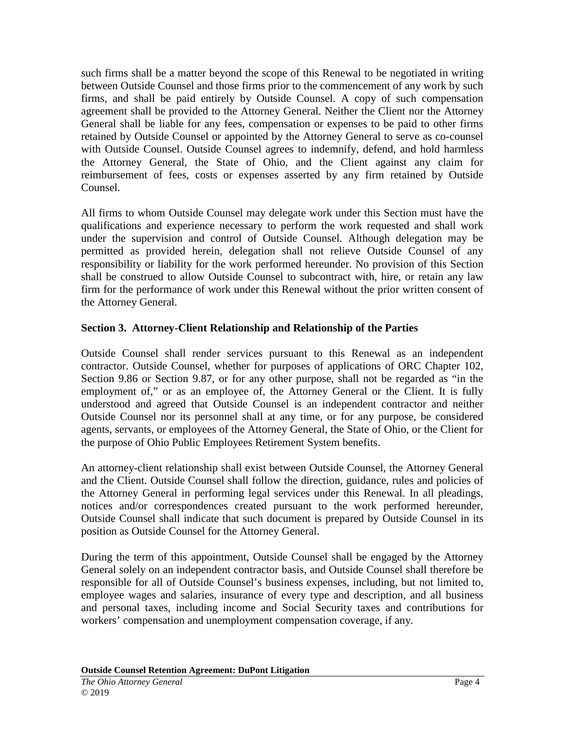such firms shall be a matter beyond the scope of this Renewal to be negotiated in writing between Outside Counsel and those firms prior to the commencement of any work by such firms, and shall be paid entirely by Outside Counsel. A copy of such compensation agreement shall be provided to the Attorney General. Neither the Client nor the Attorney General shall be liable for any fees, compensation or expenses to be paid to other firms retained by Outside Counsel or appointed by the Attorney General to serve as co-counsel with Outside Counsel. Outside Counsel agrees to indemnify, defend, and hold harmless the Attorney General, the State of Ohio, and the Client against any claim for reimbursement of fees, costs or expenses asserted by any firm retained by Outside Counsel.

All firms to whom Outside Counsel may delegate work under this Section must have the qualifications and experience necessary to perform the work requested and shall work under the supervision and control of Outside Counsel. Although delegation may be permitted as provided herein, delegation shall not relieve Outside Counsel of any responsibility or liability for the work performed hereunder. No provision of this Section shall be construed to allow Outside Counsel to subcontract with, hire, or retain any law firm for the performance of work under this Renewal without the prior written consent of the Attorney General.

## **Section 3. Attorney-Client Relationship and Relationship of the Parties**

Outside Counsel shall render services pursuant to this Renewal as an independent contractor. Outside Counsel, whether for purposes of applications of ORC Chapter 102, Section 9.86 or Section 9.87, or for any other purpose, shall not be regarded as "in the employment of," or as an employee of, the Attorney General or the Client. It is fully understood and agreed that Outside Counsel is an independent contractor and neither Outside Counsel nor its personnel shall at any time, or for any purpose, be considered agents, servants, or employees of the Attorney General, the State of Ohio, or the Client for the purpose of Ohio Public Employees Retirement System benefits.

An attorney-client relationship shall exist between Outside Counsel, the Attorney General and the Client. Outside Counsel shall follow the direction, guidance, rules and policies of the Attorney General in performing legal services under this Renewal. In all pleadings, notices and/or correspondences created pursuant to the work performed hereunder, Outside Counsel shall indicate that such document is prepared by Outside Counsel in its position as Outside Counsel for the Attorney General.

During the term of this appointment, Outside Counsel shall be engaged by the Attorney General solely on an independent contractor basis, and Outside Counsel shall therefore be responsible for all of Outside Counsel's business expenses, including, but not limited to, employee wages and salaries, insurance of every type and description, and all business and personal taxes, including income and Social Security taxes and contributions for workers' compensation and unemployment compensation coverage, if any.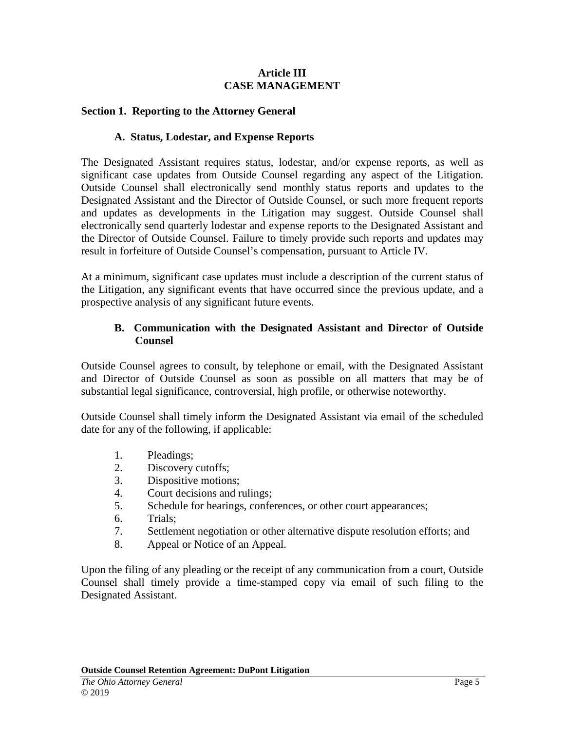#### **Article III CASE MANAGEMENT**

#### **Section 1. Reporting to the Attorney General**

#### **A. Status, Lodestar, and Expense Reports**

The Designated Assistant requires status, lodestar, and/or expense reports, as well as significant case updates from Outside Counsel regarding any aspect of the Litigation. Outside Counsel shall electronically send monthly status reports and updates to the Designated Assistant and the Director of Outside Counsel, or such more frequent reports and updates as developments in the Litigation may suggest. Outside Counsel shall electronically send quarterly lodestar and expense reports to the Designated Assistant and the Director of Outside Counsel. Failure to timely provide such reports and updates may result in forfeiture of Outside Counsel's compensation, pursuant to Article IV.

At a minimum, significant case updates must include a description of the current status of the Litigation, any significant events that have occurred since the previous update, and a prospective analysis of any significant future events.

#### **B. Communication with the Designated Assistant and Director of Outside Counsel**

Outside Counsel agrees to consult, by telephone or email, with the Designated Assistant and Director of Outside Counsel as soon as possible on all matters that may be of substantial legal significance, controversial, high profile, or otherwise noteworthy.

Outside Counsel shall timely inform the Designated Assistant via email of the scheduled date for any of the following, if applicable:

- 1. Pleadings;
- 2. Discovery cutoffs;
- 3. Dispositive motions;
- 4. Court decisions and rulings;
- 5. Schedule for hearings, conferences, or other court appearances;
- 6. Trials;
- 7. Settlement negotiation or other alternative dispute resolution efforts; and
- 8. Appeal or Notice of an Appeal.

Upon the filing of any pleading or the receipt of any communication from a court, Outside Counsel shall timely provide a time-stamped copy via email of such filing to the Designated Assistant.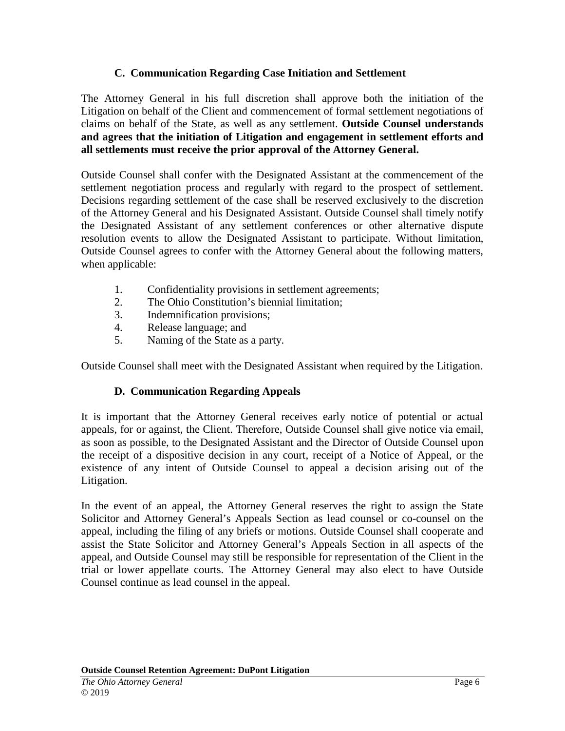## **C. Communication Regarding Case Initiation and Settlement**

The Attorney General in his full discretion shall approve both the initiation of the Litigation on behalf of the Client and commencement of formal settlement negotiations of claims on behalf of the State, as well as any settlement. **Outside Counsel understands and agrees that the initiation of Litigation and engagement in settlement efforts and all settlements must receive the prior approval of the Attorney General.**

Outside Counsel shall confer with the Designated Assistant at the commencement of the settlement negotiation process and regularly with regard to the prospect of settlement. Decisions regarding settlement of the case shall be reserved exclusively to the discretion of the Attorney General and his Designated Assistant. Outside Counsel shall timely notify the Designated Assistant of any settlement conferences or other alternative dispute resolution events to allow the Designated Assistant to participate. Without limitation, Outside Counsel agrees to confer with the Attorney General about the following matters, when applicable:

- 1. Confidentiality provisions in settlement agreements;
- 2. The Ohio Constitution's biennial limitation;
- 3. Indemnification provisions;
- 4. Release language; and
- 5. Naming of the State as a party.

Outside Counsel shall meet with the Designated Assistant when required by the Litigation.

# **D. Communication Regarding Appeals**

It is important that the Attorney General receives early notice of potential or actual appeals, for or against, the Client. Therefore, Outside Counsel shall give notice via email, as soon as possible, to the Designated Assistant and the Director of Outside Counsel upon the receipt of a dispositive decision in any court, receipt of a Notice of Appeal, or the existence of any intent of Outside Counsel to appeal a decision arising out of the Litigation.

In the event of an appeal, the Attorney General reserves the right to assign the State Solicitor and Attorney General's Appeals Section as lead counsel or co-counsel on the appeal, including the filing of any briefs or motions. Outside Counsel shall cooperate and assist the State Solicitor and Attorney General's Appeals Section in all aspects of the appeal, and Outside Counsel may still be responsible for representation of the Client in the trial or lower appellate courts. The Attorney General may also elect to have Outside Counsel continue as lead counsel in the appeal.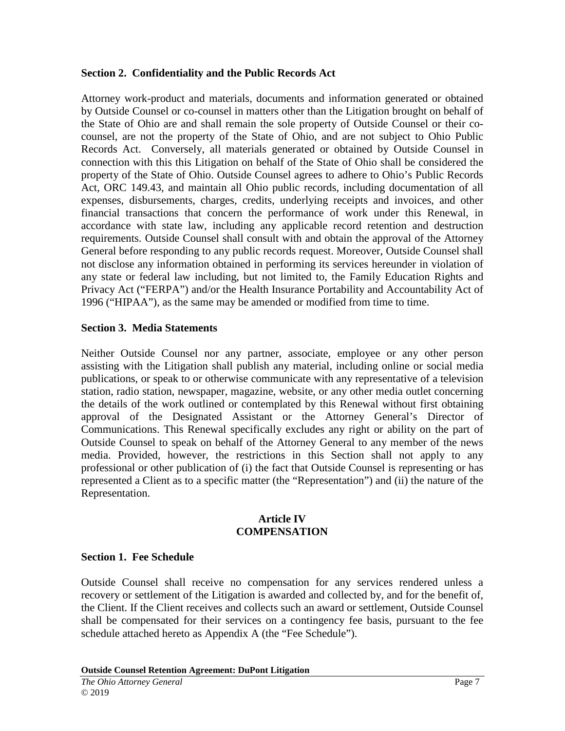#### **Section 2. Confidentiality and the Public Records Act**

Attorney work-product and materials, documents and information generated or obtained by Outside Counsel or co-counsel in matters other than the Litigation brought on behalf of the State of Ohio are and shall remain the sole property of Outside Counsel or their cocounsel, are not the property of the State of Ohio, and are not subject to Ohio Public Records Act. Conversely, all materials generated or obtained by Outside Counsel in connection with this this Litigation on behalf of the State of Ohio shall be considered the property of the State of Ohio. Outside Counsel agrees to adhere to Ohio's Public Records Act, ORC 149.43, and maintain all Ohio public records, including documentation of all expenses, disbursements, charges, credits, underlying receipts and invoices, and other financial transactions that concern the performance of work under this Renewal, in accordance with state law, including any applicable record retention and destruction requirements. Outside Counsel shall consult with and obtain the approval of the Attorney General before responding to any public records request. Moreover, Outside Counsel shall not disclose any information obtained in performing its services hereunder in violation of any state or federal law including, but not limited to, the Family Education Rights and Privacy Act ("FERPA") and/or the Health Insurance Portability and Accountability Act of 1996 ("HIPAA"), as the same may be amended or modified from time to time.

## **Section 3. Media Statements**

Neither Outside Counsel nor any partner, associate, employee or any other person assisting with the Litigation shall publish any material, including online or social media publications, or speak to or otherwise communicate with any representative of a television station, radio station, newspaper, magazine, website, or any other media outlet concerning the details of the work outlined or contemplated by this Renewal without first obtaining approval of the Designated Assistant or the Attorney General's Director of Communications. This Renewal specifically excludes any right or ability on the part of Outside Counsel to speak on behalf of the Attorney General to any member of the news media. Provided, however, the restrictions in this Section shall not apply to any professional or other publication of (i) the fact that Outside Counsel is representing or has represented a Client as to a specific matter (the "Representation") and (ii) the nature of the Representation.

#### **Article IV COMPENSATION**

#### **Section 1. Fee Schedule**

Outside Counsel shall receive no compensation for any services rendered unless a recovery or settlement of the Litigation is awarded and collected by, and for the benefit of, the Client. If the Client receives and collects such an award or settlement, Outside Counsel shall be compensated for their services on a contingency fee basis, pursuant to the fee schedule attached hereto as Appendix A (the "Fee Schedule").

**Outside Counsel Retention Agreement: DuPont Litigation**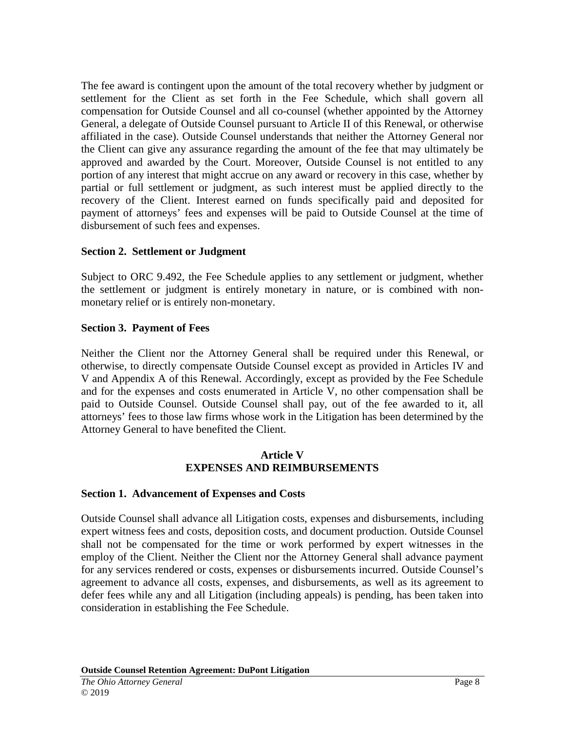The fee award is contingent upon the amount of the total recovery whether by judgment or settlement for the Client as set forth in the Fee Schedule, which shall govern all compensation for Outside Counsel and all co-counsel (whether appointed by the Attorney General, a delegate of Outside Counsel pursuant to Article II of this Renewal, or otherwise affiliated in the case). Outside Counsel understands that neither the Attorney General nor the Client can give any assurance regarding the amount of the fee that may ultimately be approved and awarded by the Court. Moreover, Outside Counsel is not entitled to any portion of any interest that might accrue on any award or recovery in this case, whether by partial or full settlement or judgment, as such interest must be applied directly to the recovery of the Client. Interest earned on funds specifically paid and deposited for payment of attorneys' fees and expenses will be paid to Outside Counsel at the time of disbursement of such fees and expenses.

## **Section 2. Settlement or Judgment**

Subject to ORC 9.492, the Fee Schedule applies to any settlement or judgment, whether the settlement or judgment is entirely monetary in nature, or is combined with nonmonetary relief or is entirely non-monetary.

## **Section 3. Payment of Fees**

Neither the Client nor the Attorney General shall be required under this Renewal, or otherwise, to directly compensate Outside Counsel except as provided in Articles IV and V and Appendix A of this Renewal. Accordingly, except as provided by the Fee Schedule and for the expenses and costs enumerated in Article V, no other compensation shall be paid to Outside Counsel. Outside Counsel shall pay, out of the fee awarded to it, all attorneys' fees to those law firms whose work in the Litigation has been determined by the Attorney General to have benefited the Client.

## **Article V EXPENSES AND REIMBURSEMENTS**

## **Section 1. Advancement of Expenses and Costs**

Outside Counsel shall advance all Litigation costs, expenses and disbursements, including expert witness fees and costs, deposition costs, and document production. Outside Counsel shall not be compensated for the time or work performed by expert witnesses in the employ of the Client. Neither the Client nor the Attorney General shall advance payment for any services rendered or costs, expenses or disbursements incurred. Outside Counsel's agreement to advance all costs, expenses, and disbursements, as well as its agreement to defer fees while any and all Litigation (including appeals) is pending, has been taken into consideration in establishing the Fee Schedule.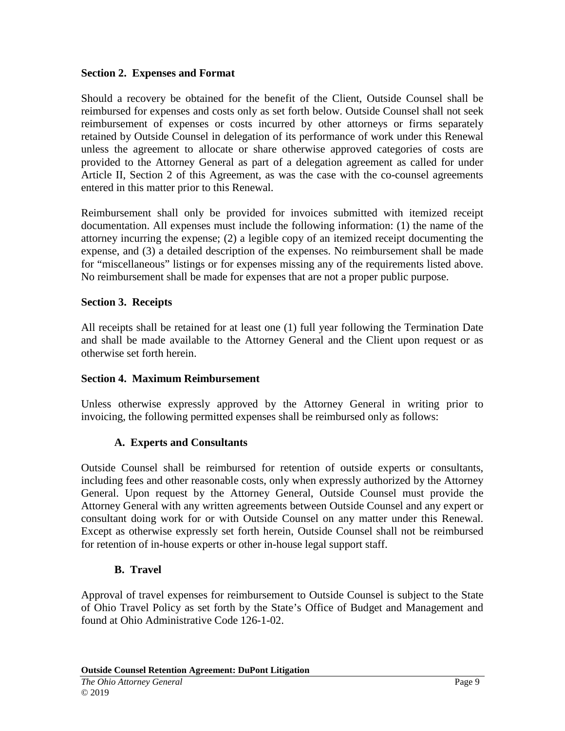#### **Section 2. Expenses and Format**

Should a recovery be obtained for the benefit of the Client, Outside Counsel shall be reimbursed for expenses and costs only as set forth below. Outside Counsel shall not seek reimbursement of expenses or costs incurred by other attorneys or firms separately retained by Outside Counsel in delegation of its performance of work under this Renewal unless the agreement to allocate or share otherwise approved categories of costs are provided to the Attorney General as part of a delegation agreement as called for under Article II, Section 2 of this Agreement, as was the case with the co-counsel agreements entered in this matter prior to this Renewal.

Reimbursement shall only be provided for invoices submitted with itemized receipt documentation. All expenses must include the following information: (1) the name of the attorney incurring the expense; (2) a legible copy of an itemized receipt documenting the expense, and (3) a detailed description of the expenses. No reimbursement shall be made for "miscellaneous" listings or for expenses missing any of the requirements listed above. No reimbursement shall be made for expenses that are not a proper public purpose.

## **Section 3. Receipts**

All receipts shall be retained for at least one (1) full year following the Termination Date and shall be made available to the Attorney General and the Client upon request or as otherwise set forth herein.

## **Section 4. Maximum Reimbursement**

Unless otherwise expressly approved by the Attorney General in writing prior to invoicing, the following permitted expenses shall be reimbursed only as follows:

## **A. Experts and Consultants**

Outside Counsel shall be reimbursed for retention of outside experts or consultants, including fees and other reasonable costs, only when expressly authorized by the Attorney General. Upon request by the Attorney General, Outside Counsel must provide the Attorney General with any written agreements between Outside Counsel and any expert or consultant doing work for or with Outside Counsel on any matter under this Renewal. Except as otherwise expressly set forth herein, Outside Counsel shall not be reimbursed for retention of in-house experts or other in-house legal support staff.

## **B. Travel**

Approval of travel expenses for reimbursement to Outside Counsel is subject to the State of Ohio Travel Policy as set forth by the State's Office of Budget and Management and found at Ohio Administrative Code 126-1-02.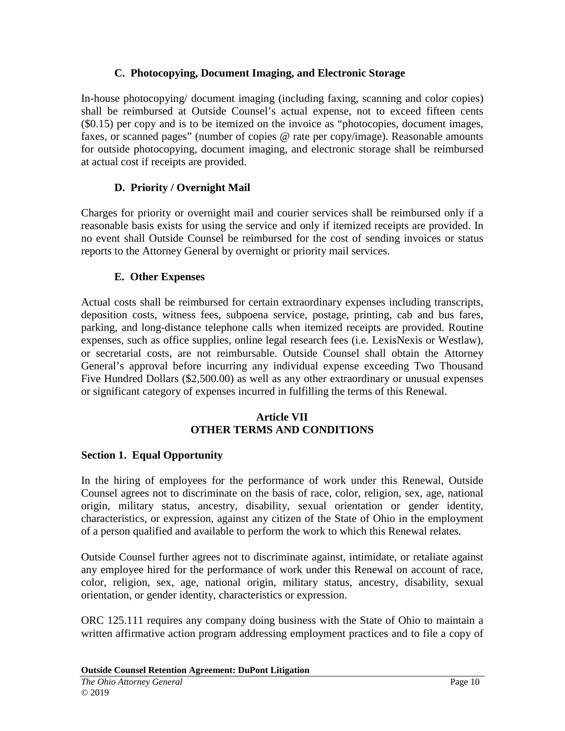## **C. Photocopying, Document Imaging, and Electronic Storage**

In-house photocopying/ document imaging (including faxing, scanning and color copies) shall be reimbursed at Outside Counsel's actual expense, not to exceed fifteen cents (\$0.15) per copy and is to be itemized on the invoice as "photocopies, document images, faxes, or scanned pages" (number of copies @ rate per copy/image). Reasonable amounts for outside photocopying, document imaging, and electronic storage shall be reimbursed at actual cost if receipts are provided.

# **D. Priority / Overnight Mail**

Charges for priority or overnight mail and courier services shall be reimbursed only if a reasonable basis exists for using the service and only if itemized receipts are provided. In no event shall Outside Counsel be reimbursed for the cost of sending invoices or status reports to the Attorney General by overnight or priority mail services.

# **E. Other Expenses**

Actual costs shall be reimbursed for certain extraordinary expenses including transcripts, deposition costs, witness fees, subpoena service, postage, printing, cab and bus fares, parking, and long-distance telephone calls when itemized receipts are provided. Routine expenses, such as office supplies, online legal research fees (i.e. LexisNexis or Westlaw), or secretarial costs, are not reimbursable. Outside Counsel shall obtain the Attorney General's approval before incurring any individual expense exceeding Two Thousand Five Hundred Dollars (\$2,500.00) as well as any other extraordinary or unusual expenses or significant category of expenses incurred in fulfilling the terms of this Renewal.

## **Article VII OTHER TERMS AND CONDITIONS**

## **Section 1. Equal Opportunity**

In the hiring of employees for the performance of work under this Renewal, Outside Counsel agrees not to discriminate on the basis of race, color, religion, sex, age, national origin, military status, ancestry, disability, sexual orientation or gender identity, characteristics, or expression, against any citizen of the State of Ohio in the employment of a person qualified and available to perform the work to which this Renewal relates.

Outside Counsel further agrees not to discriminate against, intimidate, or retaliate against any employee hired for the performance of work under this Renewal on account of race, color, religion, sex, age, national origin, military status, ancestry, disability, sexual orientation, or gender identity, characteristics or expression.

ORC 125.111 requires any company doing business with the State of Ohio to maintain a written affirmative action program addressing employment practices and to file a copy of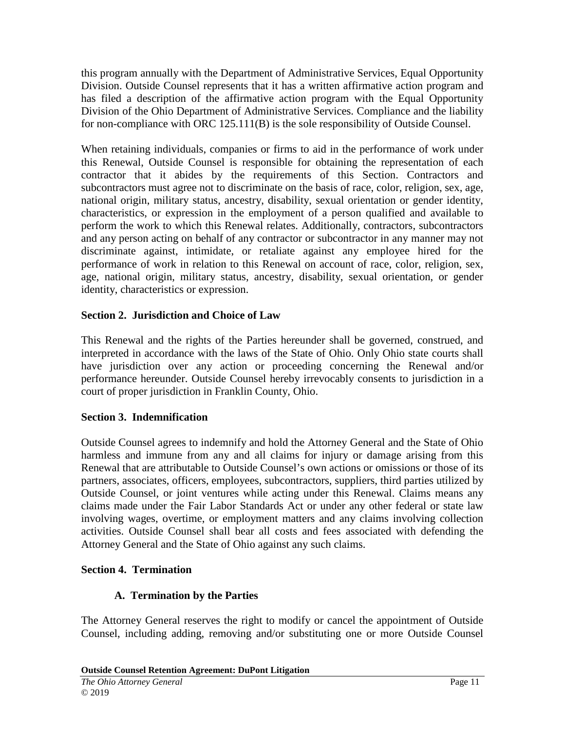this program annually with the Department of Administrative Services, Equal Opportunity Division. Outside Counsel represents that it has a written affirmative action program and has filed a description of the affirmative action program with the Equal Opportunity Division of the Ohio Department of Administrative Services. Compliance and the liability for non-compliance with ORC 125.111(B) is the sole responsibility of Outside Counsel.

When retaining individuals, companies or firms to aid in the performance of work under this Renewal, Outside Counsel is responsible for obtaining the representation of each contractor that it abides by the requirements of this Section. Contractors and subcontractors must agree not to discriminate on the basis of race, color, religion, sex, age, national origin, military status, ancestry, disability, sexual orientation or gender identity, characteristics, or expression in the employment of a person qualified and available to perform the work to which this Renewal relates. Additionally, contractors, subcontractors and any person acting on behalf of any contractor or subcontractor in any manner may not discriminate against, intimidate, or retaliate against any employee hired for the performance of work in relation to this Renewal on account of race, color, religion, sex, age, national origin, military status, ancestry, disability, sexual orientation, or gender identity, characteristics or expression.

# **Section 2. Jurisdiction and Choice of Law**

This Renewal and the rights of the Parties hereunder shall be governed, construed, and interpreted in accordance with the laws of the State of Ohio. Only Ohio state courts shall have jurisdiction over any action or proceeding concerning the Renewal and/or performance hereunder. Outside Counsel hereby irrevocably consents to jurisdiction in a court of proper jurisdiction in Franklin County, Ohio.

## **Section 3. Indemnification**

Outside Counsel agrees to indemnify and hold the Attorney General and the State of Ohio harmless and immune from any and all claims for injury or damage arising from this Renewal that are attributable to Outside Counsel's own actions or omissions or those of its partners, associates, officers, employees, subcontractors, suppliers, third parties utilized by Outside Counsel, or joint ventures while acting under this Renewal. Claims means any claims made under the Fair Labor Standards Act or under any other federal or state law involving wages, overtime, or employment matters and any claims involving collection activities. Outside Counsel shall bear all costs and fees associated with defending the Attorney General and the State of Ohio against any such claims.

## **Section 4. Termination**

# **A. Termination by the Parties**

The Attorney General reserves the right to modify or cancel the appointment of Outside Counsel, including adding, removing and/or substituting one or more Outside Counsel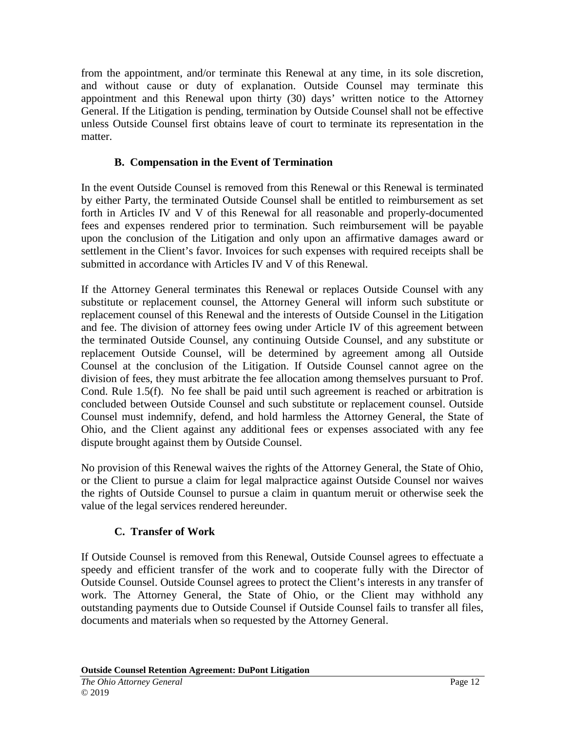from the appointment, and/or terminate this Renewal at any time, in its sole discretion, and without cause or duty of explanation. Outside Counsel may terminate this appointment and this Renewal upon thirty (30) days' written notice to the Attorney General. If the Litigation is pending, termination by Outside Counsel shall not be effective unless Outside Counsel first obtains leave of court to terminate its representation in the matter.

# **B. Compensation in the Event of Termination**

In the event Outside Counsel is removed from this Renewal or this Renewal is terminated by either Party, the terminated Outside Counsel shall be entitled to reimbursement as set forth in Articles IV and V of this Renewal for all reasonable and properly-documented fees and expenses rendered prior to termination. Such reimbursement will be payable upon the conclusion of the Litigation and only upon an affirmative damages award or settlement in the Client's favor. Invoices for such expenses with required receipts shall be submitted in accordance with Articles IV and V of this Renewal.

If the Attorney General terminates this Renewal or replaces Outside Counsel with any substitute or replacement counsel, the Attorney General will inform such substitute or replacement counsel of this Renewal and the interests of Outside Counsel in the Litigation and fee. The division of attorney fees owing under Article IV of this agreement between the terminated Outside Counsel, any continuing Outside Counsel, and any substitute or replacement Outside Counsel, will be determined by agreement among all Outside Counsel at the conclusion of the Litigation. If Outside Counsel cannot agree on the division of fees, they must arbitrate the fee allocation among themselves pursuant to Prof. Cond. Rule 1.5(f). No fee shall be paid until such agreement is reached or arbitration is concluded between Outside Counsel and such substitute or replacement counsel. Outside Counsel must indemnify, defend, and hold harmless the Attorney General, the State of Ohio, and the Client against any additional fees or expenses associated with any fee dispute brought against them by Outside Counsel.

No provision of this Renewal waives the rights of the Attorney General, the State of Ohio, or the Client to pursue a claim for legal malpractice against Outside Counsel nor waives the rights of Outside Counsel to pursue a claim in quantum meruit or otherwise seek the value of the legal services rendered hereunder.

# **C. Transfer of Work**

If Outside Counsel is removed from this Renewal, Outside Counsel agrees to effectuate a speedy and efficient transfer of the work and to cooperate fully with the Director of Outside Counsel. Outside Counsel agrees to protect the Client's interests in any transfer of work. The Attorney General, the State of Ohio, or the Client may withhold any outstanding payments due to Outside Counsel if Outside Counsel fails to transfer all files, documents and materials when so requested by the Attorney General.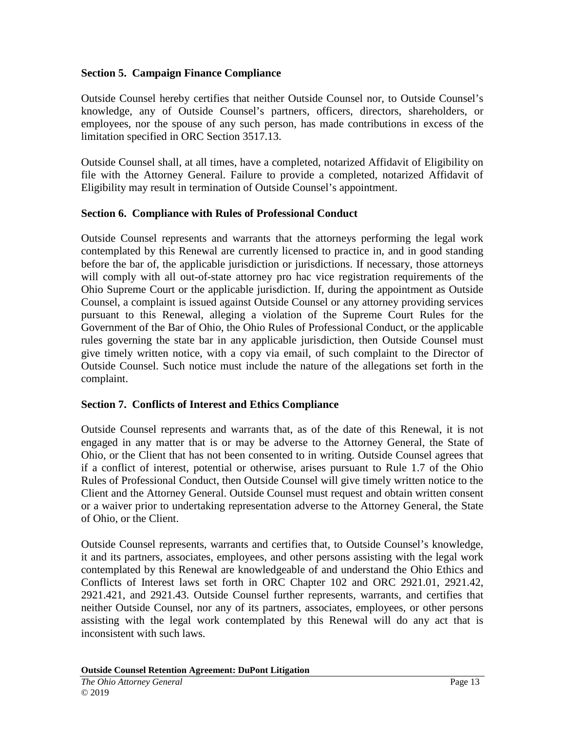## **Section 5. Campaign Finance Compliance**

Outside Counsel hereby certifies that neither Outside Counsel nor, to Outside Counsel's knowledge, any of Outside Counsel's partners, officers, directors, shareholders, or employees, nor the spouse of any such person, has made contributions in excess of the limitation specified in ORC Section 3517.13.

Outside Counsel shall, at all times, have a completed, notarized Affidavit of Eligibility on file with the Attorney General. Failure to provide a completed, notarized Affidavit of Eligibility may result in termination of Outside Counsel's appointment.

## **Section 6. Compliance with Rules of Professional Conduct**

Outside Counsel represents and warrants that the attorneys performing the legal work contemplated by this Renewal are currently licensed to practice in, and in good standing before the bar of, the applicable jurisdiction or jurisdictions. If necessary, those attorneys will comply with all out-of-state attorney pro hac vice registration requirements of the Ohio Supreme Court or the applicable jurisdiction. If, during the appointment as Outside Counsel, a complaint is issued against Outside Counsel or any attorney providing services pursuant to this Renewal, alleging a violation of the Supreme Court Rules for the Government of the Bar of Ohio, the Ohio Rules of Professional Conduct, or the applicable rules governing the state bar in any applicable jurisdiction, then Outside Counsel must give timely written notice, with a copy via email, of such complaint to the Director of Outside Counsel. Such notice must include the nature of the allegations set forth in the complaint.

## **Section 7. Conflicts of Interest and Ethics Compliance**

Outside Counsel represents and warrants that, as of the date of this Renewal, it is not engaged in any matter that is or may be adverse to the Attorney General, the State of Ohio, or the Client that has not been consented to in writing. Outside Counsel agrees that if a conflict of interest, potential or otherwise, arises pursuant to Rule 1.7 of the Ohio Rules of Professional Conduct, then Outside Counsel will give timely written notice to the Client and the Attorney General. Outside Counsel must request and obtain written consent or a waiver prior to undertaking representation adverse to the Attorney General, the State of Ohio, or the Client.

Outside Counsel represents, warrants and certifies that, to Outside Counsel's knowledge, it and its partners, associates, employees, and other persons assisting with the legal work contemplated by this Renewal are knowledgeable of and understand the Ohio Ethics and Conflicts of Interest laws set forth in ORC Chapter 102 and ORC 2921.01, 2921.42, 2921.421, and 2921.43. Outside Counsel further represents, warrants, and certifies that neither Outside Counsel, nor any of its partners, associates, employees, or other persons assisting with the legal work contemplated by this Renewal will do any act that is inconsistent with such laws.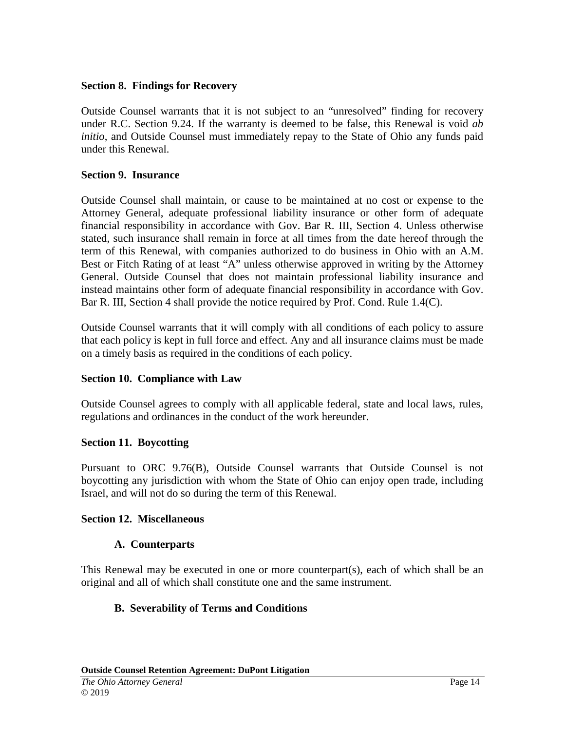#### **Section 8. Findings for Recovery**

Outside Counsel warrants that it is not subject to an "unresolved" finding for recovery under R.C. Section 9.24. If the warranty is deemed to be false, this Renewal is void *ab initio*, and Outside Counsel must immediately repay to the State of Ohio any funds paid under this Renewal.

## **Section 9. Insurance**

Outside Counsel shall maintain, or cause to be maintained at no cost or expense to the Attorney General, adequate professional liability insurance or other form of adequate financial responsibility in accordance with Gov. Bar R. III, Section 4. Unless otherwise stated, such insurance shall remain in force at all times from the date hereof through the term of this Renewal, with companies authorized to do business in Ohio with an A.M. Best or Fitch Rating of at least "A" unless otherwise approved in writing by the Attorney General. Outside Counsel that does not maintain professional liability insurance and instead maintains other form of adequate financial responsibility in accordance with Gov. Bar R. III, Section 4 shall provide the notice required by Prof. Cond. Rule 1.4(C).

Outside Counsel warrants that it will comply with all conditions of each policy to assure that each policy is kept in full force and effect. Any and all insurance claims must be made on a timely basis as required in the conditions of each policy.

## **Section 10. Compliance with Law**

Outside Counsel agrees to comply with all applicable federal, state and local laws, rules, regulations and ordinances in the conduct of the work hereunder.

#### **Section 11. Boycotting**

Pursuant to ORC 9.76(B), Outside Counsel warrants that Outside Counsel is not boycotting any jurisdiction with whom the State of Ohio can enjoy open trade, including Israel, and will not do so during the term of this Renewal.

#### **Section 12. Miscellaneous**

#### **A. Counterparts**

This Renewal may be executed in one or more counterpart(s), each of which shall be an original and all of which shall constitute one and the same instrument.

## **B. Severability of Terms and Conditions**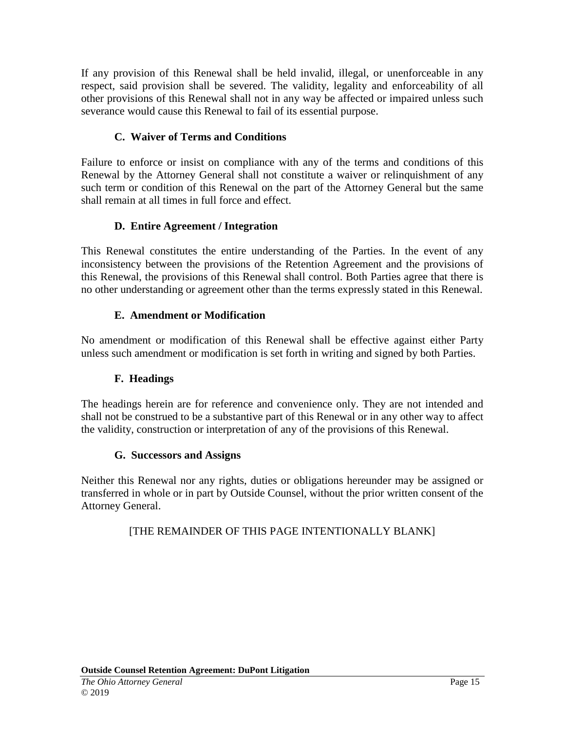If any provision of this Renewal shall be held invalid, illegal, or unenforceable in any respect, said provision shall be severed. The validity, legality and enforceability of all other provisions of this Renewal shall not in any way be affected or impaired unless such severance would cause this Renewal to fail of its essential purpose.

# **C. Waiver of Terms and Conditions**

Failure to enforce or insist on compliance with any of the terms and conditions of this Renewal by the Attorney General shall not constitute a waiver or relinquishment of any such term or condition of this Renewal on the part of the Attorney General but the same shall remain at all times in full force and effect.

# **D. Entire Agreement / Integration**

This Renewal constitutes the entire understanding of the Parties. In the event of any inconsistency between the provisions of the Retention Agreement and the provisions of this Renewal, the provisions of this Renewal shall control. Both Parties agree that there is no other understanding or agreement other than the terms expressly stated in this Renewal.

# **E. Amendment or Modification**

No amendment or modification of this Renewal shall be effective against either Party unless such amendment or modification is set forth in writing and signed by both Parties.

# **F. Headings**

The headings herein are for reference and convenience only. They are not intended and shall not be construed to be a substantive part of this Renewal or in any other way to affect the validity, construction or interpretation of any of the provisions of this Renewal.

## **G. Successors and Assigns**

Neither this Renewal nor any rights, duties or obligations hereunder may be assigned or transferred in whole or in part by Outside Counsel, without the prior written consent of the Attorney General.

# [THE REMAINDER OF THIS PAGE INTENTIONALLY BLANK]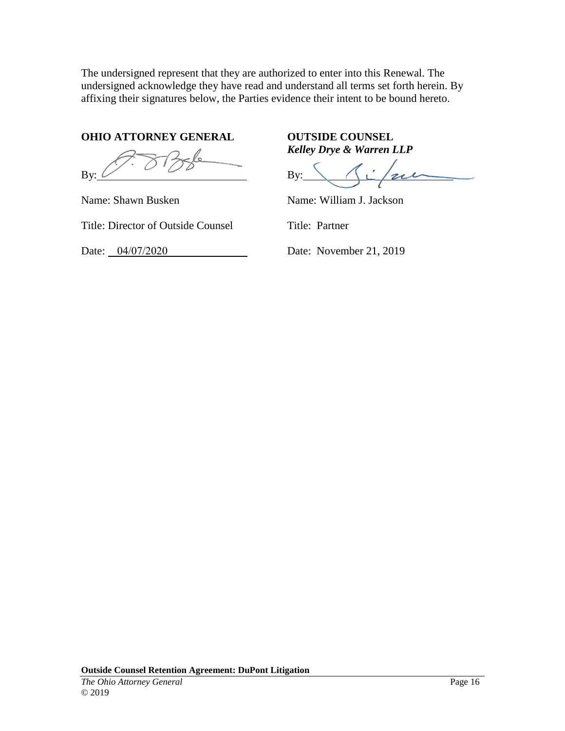The undersigned represent that they are authorized to enter into this Renewal. The undersigned acknowledge they have read and understand all terms set forth herein. By affixing their signatures below, the Parties evidence their intent to be bound hereto.

**OHIO ATTORNEY GENERAL OUTSIDE COUNSEL** 

By:

Name: Shawn Busken

Title: Director of Outside Counsel

Date: 04/07/2020

*Kelley Drye & Warren LLP* 

 $By$ :

Name: William J. Jackson

Title: Partner

Date: November 21, 2019